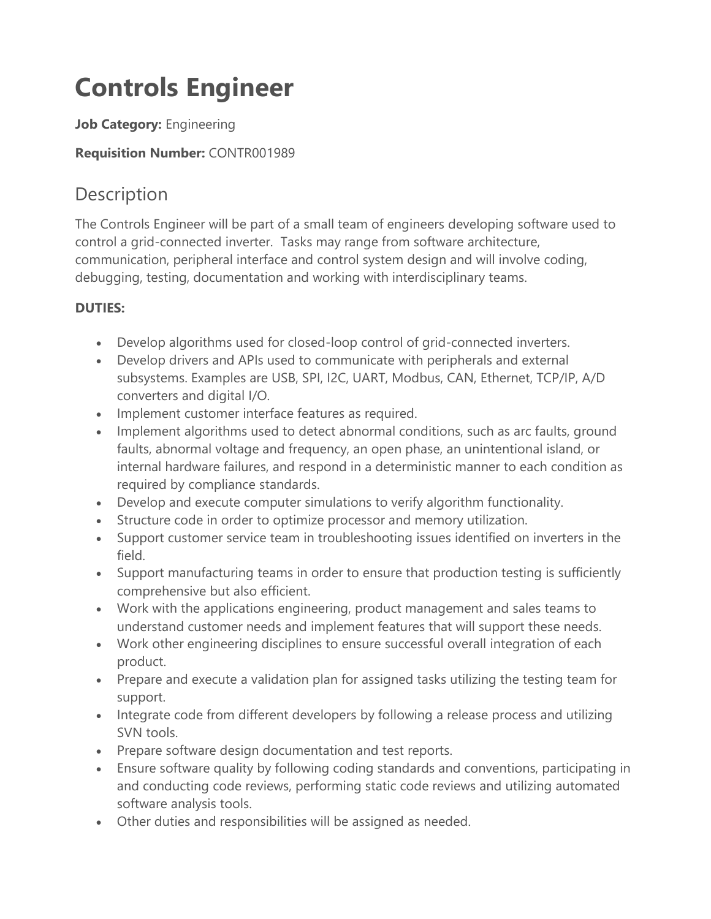# **Controls Engineer**

### **Job Category:** Engineering

### **Requisition Number:** CONTR001989

# Description

The Controls Engineer will be part of a small team of engineers developing software used to control a grid-connected inverter. Tasks may range from software architecture, communication, peripheral interface and control system design and will involve coding, debugging, testing, documentation and working with interdisciplinary teams.

## **DUTIES:**

- Develop algorithms used for closed-loop control of grid-connected inverters.
- Develop drivers and APIs used to communicate with peripherals and external subsystems. Examples are USB, SPI, I2C, UART, Modbus, CAN, Ethernet, TCP/IP, A/D converters and digital I/O.
- Implement customer interface features as required.
- Implement algorithms used to detect abnormal conditions, such as arc faults, ground faults, abnormal voltage and frequency, an open phase, an unintentional island, or internal hardware failures, and respond in a deterministic manner to each condition as required by compliance standards.
- Develop and execute computer simulations to verify algorithm functionality.
- Structure code in order to optimize processor and memory utilization.
- Support customer service team in troubleshooting issues identified on inverters in the field.
- Support manufacturing teams in order to ensure that production testing is sufficiently comprehensive but also efficient.
- Work with the applications engineering, product management and sales teams to understand customer needs and implement features that will support these needs.
- Work other engineering disciplines to ensure successful overall integration of each product.
- Prepare and execute a validation plan for assigned tasks utilizing the testing team for support.
- Integrate code from different developers by following a release process and utilizing SVN tools.
- Prepare software design documentation and test reports.
- Ensure software quality by following coding standards and conventions, participating in and conducting code reviews, performing static code reviews and utilizing automated software analysis tools.
- Other duties and responsibilities will be assigned as needed.